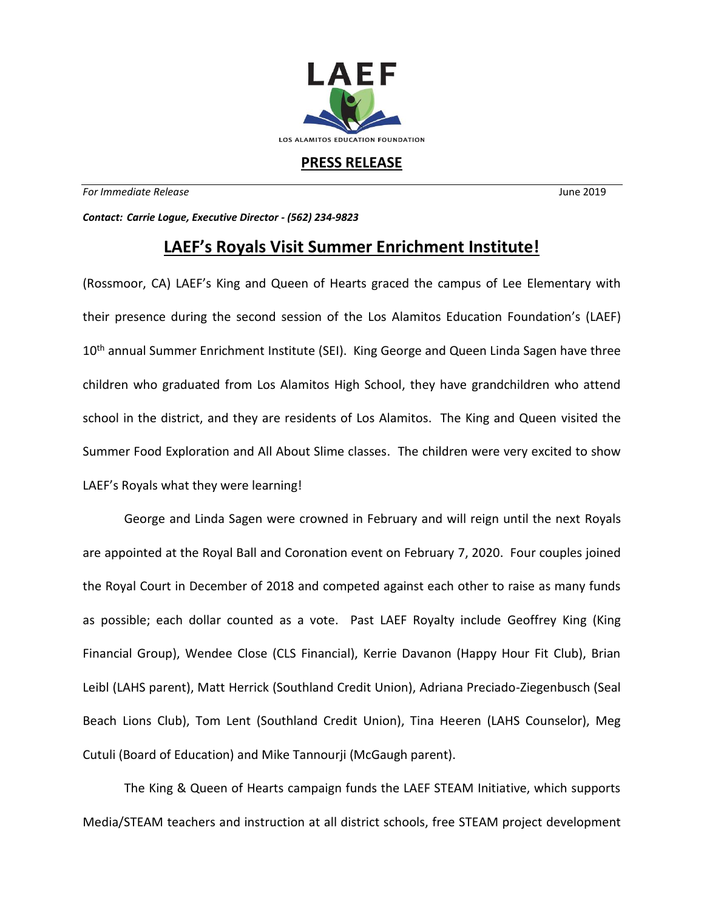

## **PRESS RELEASE**

*For Immediate Release* June 2019

*Contact: Carrie Logue, Executive Director - (562) 234-9823*

## **LAEF's Royals Visit Summer Enrichment Institute!**

(Rossmoor, CA) LAEF's King and Queen of Hearts graced the campus of Lee Elementary with their presence during the second session of the Los Alamitos Education Foundation's (LAEF) 10<sup>th</sup> annual Summer Enrichment Institute (SEI). King George and Queen Linda Sagen have three children who graduated from Los Alamitos High School, they have grandchildren who attend school in the district, and they are residents of Los Alamitos. The King and Queen visited the Summer Food Exploration and All About Slime classes. The children were very excited to show LAEF's Royals what they were learning!

George and Linda Sagen were crowned in February and will reign until the next Royals are appointed at the Royal Ball and Coronation event on February 7, 2020. Four couples joined the Royal Court in December of 2018 and competed against each other to raise as many funds as possible; each dollar counted as a vote. Past LAEF Royalty include Geoffrey King (King Financial Group), Wendee Close (CLS Financial), Kerrie Davanon (Happy Hour Fit Club), Brian Leibl (LAHS parent), Matt Herrick (Southland Credit Union), Adriana Preciado-Ziegenbusch (Seal Beach Lions Club), Tom Lent (Southland Credit Union), Tina Heeren (LAHS Counselor), Meg Cutuli (Board of Education) and Mike Tannourji (McGaugh parent).

The King & Queen of Hearts campaign funds the LAEF STEAM Initiative, which supports Media/STEAM teachers and instruction at all district schools, free STEAM project development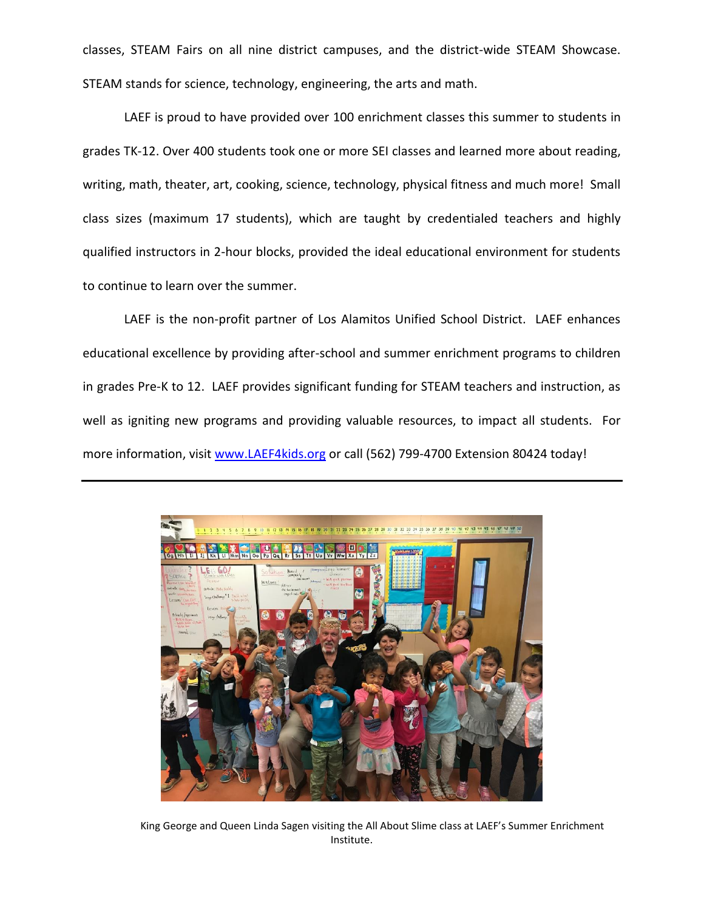classes, STEAM Fairs on all nine district campuses, and the district-wide STEAM Showcase. STEAM stands for science, technology, engineering, the arts and math.

LAEF is proud to have provided over 100 enrichment classes this summer to students in grades TK-12. Over 400 students took one or more SEI classes and learned more about reading, writing, math, theater, art, cooking, science, technology, physical fitness and much more! Small class sizes (maximum 17 students), which are taught by credentialed teachers and highly qualified instructors in 2-hour blocks, provided the ideal educational environment for students to continue to learn over the summer.

LAEF is the non-profit partner of Los Alamitos Unified School District. LAEF enhances educational excellence by providing after-school and summer enrichment programs to children in grades Pre-K to 12. LAEF provides significant funding for STEAM teachers and instruction, as well as igniting new programs and providing valuable resources, to impact all students. For more information, visit [www.LAEF4kids.org](http://www.laef4kids.org/) or call (562) 799-4700 Extension 80424 today!



King George and Queen Linda Sagen visiting the All About Slime class at LAEF's Summer Enrichment Institute.